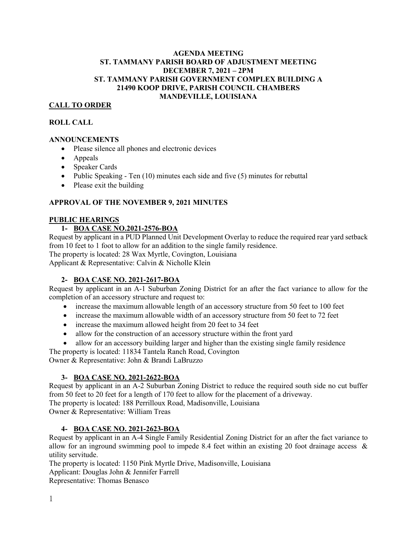#### **AGENDA MEETING ST. TAMMANY PARISH BOARD OF ADJUSTMENT MEETING DECEMBER 7, 2021 – 2PM ST. TAMMANY PARISH GOVERNMENT COMPLEX BUILDING A 21490 KOOP DRIVE, PARISH COUNCIL CHAMBERS MANDEVILLE, LOUISIANA**

# **CALL TO ORDER**

#### **ROLL CALL**

#### **ANNOUNCEMENTS**

- Please silence all phones and electronic devices
- Appeals
- Speaker Cards
- Public Speaking Ten  $(10)$  minutes each side and five  $(5)$  minutes for rebuttal
- Please exit the building

#### **APPROVAL OF THE NOVEMBER 9, 2021 MINUTES**

#### **PUBLIC HEARINGS**

# **1- BOA CASE NO.2021-2576-BOA**

Request by applicant in a PUD Planned Unit Development Overlay to reduce the required rear yard setback from 10 feet to 1 foot to allow for an addition to the single family residence. The property is located: 28 Wax Myrtle, Covington, Louisiana

Applicant & Representative: Calvin & Nicholle Klein

#### **2- BOA CASE NO. 2021-2617-BOA**

Request by applicant in an A-1 Suburban Zoning District for an after the fact variance to allow for the completion of an accessory structure and request to:

- increase the maximum allowable length of an accessory structure from 50 feet to 100 feet
- increase the maximum allowable width of an accessory structure from 50 feet to 72 feet
- increase the maximum allowed height from 20 feet to 34 feet
- allow for the construction of an accessory structure within the front yard
- allow for an accessory building larger and higher than the existing single family residence

The property is located: 11834 Tantela Ranch Road, Covington Owner & Representative: John & Brandi LaBruzzo

#### **3- BOA CASE NO. 2021-2622-BOA**

Request by applicant in an A-2 Suburban Zoning District to reduce the required south side no cut buffer from 50 feet to 20 feet for a length of 170 feet to allow for the placement of a driveway. The property is located: 188 Perrilloux Road, Madisonville, Louisiana Owner & Representative: William Treas

# **4- BOA CASE NO. 2021-2623-BOA**

Request by applicant in an A-4 Single Family Residential Zoning District for an after the fact variance to allow for an inground swimming pool to impede 8.4 feet within an existing 20 foot drainage access & utility servitude.

The property is located: 1150 Pink Myrtle Drive, Madisonville, Louisiana

Applicant: Douglas John & Jennifer Farrell

Representative: Thomas Benasco